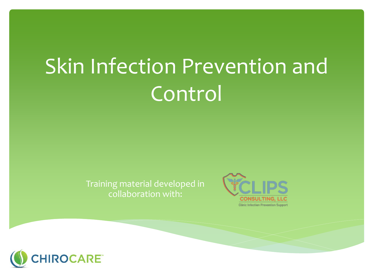# Skin Infection Prevention and Control

#### Training material developed in collaboration with:



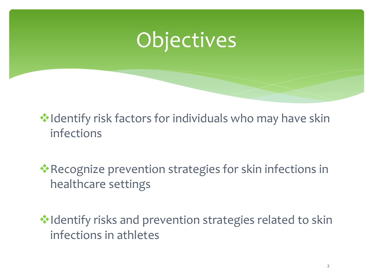## **Objectives**

 **V**• Identify risk factors for individuals who may have skin infections

❖Recognize prevention strategies for skin infections in healthcare settings

❖Identify risks and prevention strategies related to skin infections in athletes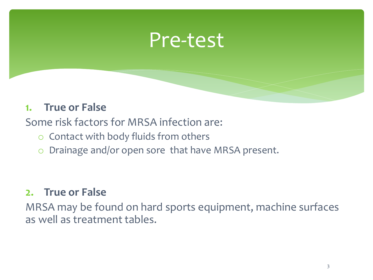## Pre-test

#### **1. True or False**

Some risk factors for MRSA infection are:

- o Contact with body fluids from others
- o Drainage and/or open sore that have MRSA present.

#### **2. True or False**

MRSA may be found on hard sports equipment, machine surfaces as well as treatment tables.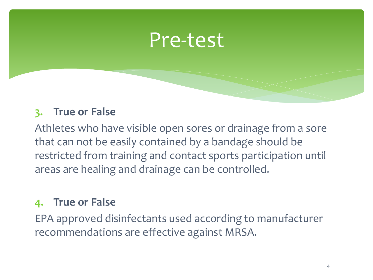### Pre-test

### **3. True or False**

Athletes who have visible open sores or drainage from a sore that can not be easily contained by a bandage should be restricted from training and contact sports participation until areas are healing and drainage can be controlled.

### **4. True or False**

EPA approved disinfectants used according to manufacturer recommendations are effective against MRSA.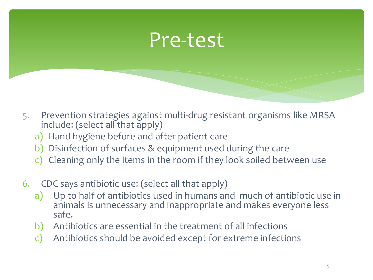## Pre-test

- 5. Prevention strategies against multi-drug resistant organisms like MRSA include: (select all that apply)
	- a) Hand hygiene before and after patient care
	- b) Disinfection of surfaces & equipment used during the care
	- c) Cleaning only the items in the room if they look soiled between use
- 6. CDC says antibiotic use: (select all that apply)
	- a) Up to half of antibiotics used in humans and much of antibiotic use in animals is unnecessary and inappropriate and makes everyone less safe.
	- b) Antibiotics are essential in the treatment of all infections
	- c) Antibiotics should be avoided except for extreme infections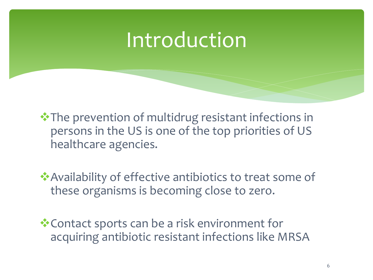## Introduction

❖The prevention of multidrug resistant infections in persons in the US is one of the top priorities of US healthcare agencies.

❖Availability of effective antibiotics to treat some of these organisms is becoming close to zero.

❖Contact sports can be a risk environment for acquiring antibiotic resistant infections like MRSA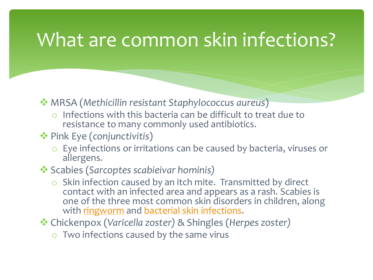## What are common skin infections?

- ❖ MRSA (*Methicillin resistant Staphylococcus aureus*)
	- o Infections with this bacteria can be difficult to treat due to resistance to many commonly used antibiotics.
- ❖ Pink Eye (*conjunctivitis*)
	- o Eye infections or irritations can be caused by bacteria, viruses or allergens.
- ❖ Scabies (*Sarcoptes scabieivar hominis)*
	- $\circ$  Skin infection caused by an itch mite. Transmitted by direct contact with an infected area and appears as a rash. Scabies is one of the three most common skin disorders in children, along with [ringworm](https://en.wikipedia.org/wiki/Tinea) and [bacterial skin infections.](https://en.wikipedia.org/wiki/Pyoderma)
- ❖ Chickenpox (*Varicella zoster)* & Shingles (*Herpes zoster)*
	- $\circ$  Two infections caused by the same virus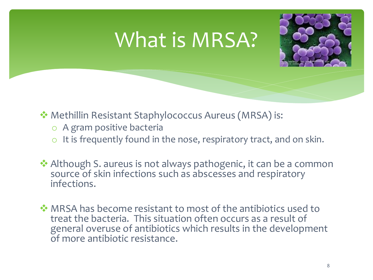## What is MRSA?



- ❖ Methillin Resistant Staphylococcus Aureus (MRSA) is:
	- o A gram positive bacteria
	- $\circ$  It is frequently found in the nose, respiratory tract, and on skin.
- ❖ Although S. aureus is not always pathogenic, it can be a common source of skin infections such as abscesses and respiratory infections.
- ❖ MRSA has become resistant to most of the antibiotics used to treat the bacteria. This situation often occurs as a result of general overuse of antibiotics which results in the development of more antibiotic resistance.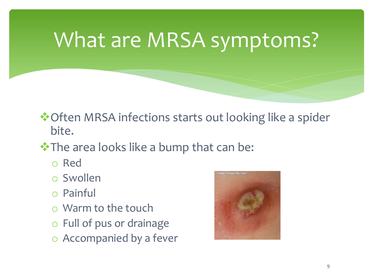# What are MRSA symptoms?

❖Often MRSA infections starts out looking like a spider bite.

### • The area looks like a bump that can be:

- o Red
- o Swollen
- o Painful
- o Warm to the touch
- o Full of pus or drainage
- o Accompanied by a fever

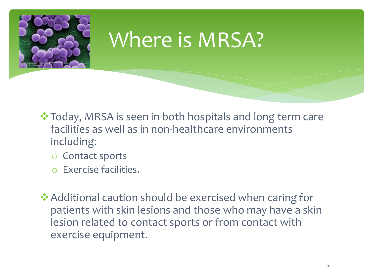

## Where is MRSA?

- ❖Today, MRSA is seen in both hospitals and long term care facilities as well as in non-healthcare environments including:
	- o Contact sports
	- o Exercise facilities.
- ❖Additional caution should be exercised when caring for patients with skin lesions and those who may have a skin lesion related to contact sports or from contact with exercise equipment.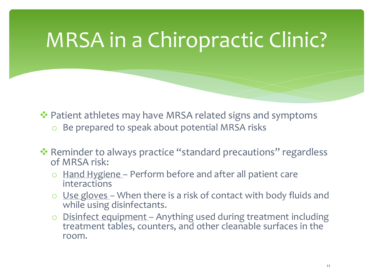# MRSA in a Chiropractic Clinic?

- ❖ Patient athletes may have MRSA related signs and symptoms o Be prepared to speak about potential MRSA risks
- ❖ Reminder to always practice "standard precautions" regardless of MRSA risk:
	- $\circ$  Hand Hygiene Perform before and after all patient care interactions
	- o Use gloves When there is a risk of contact with body fluids and while using disinfectants.
	- o Disinfect equipment Anything used during treatment including treatment tables, counters, and other cleanable surfaces in the room.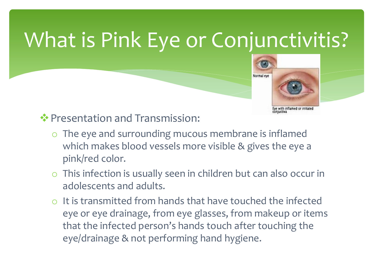# What is Pink Eye or Conjunctivitis?



❖Presentation and Transmission:

- o The eye and surrounding mucous membrane is inflamed which makes blood vessels more visible & gives the eye a pink/red color.
- o This infection is usually seen in children but can also occur in adolescents and adults.
- o It is transmitted from hands that have touched the infected eye or eye drainage, from eye glasses, from makeup or items that the infected person's hands touch after touching the eye/drainage & not performing hand hygiene.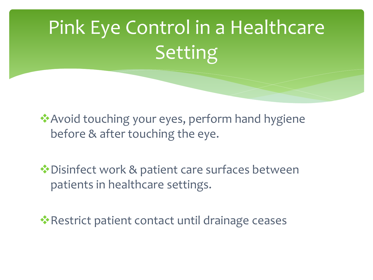# Pink Eye Control in a Healthcare Setting

❖Avoid touching your eyes, perform hand hygiene before & after touching the eye.

❖Disinfect work & patient care surfaces between patients in healthcare settings.

**• Restrict patient contact until drainage ceases**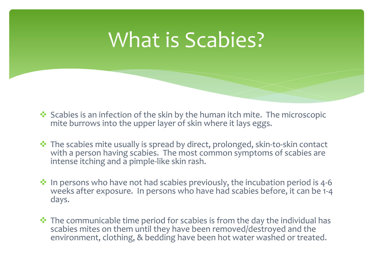## What is Scabies?

- ❖ Scabies is an infection of the skin by the human itch mite. The microscopic mite burrows into the upper layer of skin where it lays eggs.
- ❖ The scabies mite usually is spread by direct, prolonged, skin-to-skin contact with a person having scabies. The most common symptoms of scabies are intense itching and a pimple-like skin rash.
- ❖ In persons who have not had scabies previously, the incubation period is 4-6 weeks after exposure. In persons who have had scabies before, it can be 1-4 days.
- $\cdot$  The communicable time period for scabies is from the day the individual has scabies mites on them until they have been removed/destroyed and the environment, clothing, & bedding have been hot water washed or treated.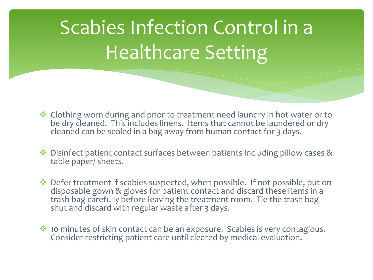# Scabies Infection Control in a Healthcare Setting

- ❖ Clothing worn during and prior to treatment need laundry in hot water or to be dry cleaned. This includes linens. Items that cannot be laundered or dry cleaned can be sealed in a bag away from human contact for 3 days.
- ❖ Disinfect patient contact surfaces between patients including pillow cases & table paper/ sheets.
- ❖ Defer treatment if scabies suspected, when possible. If not possible, put on disposable gown & gloves for patient contact and discard these items in a trash bag carefully before leaving the treatment room. Tie the trash bag shut and discard with regular waste after 3 days.
- ❖ 10 minutes of skin contact can be an exposure. Scabies is very contagious. Consider restricting patient care until cleared by medical evaluation.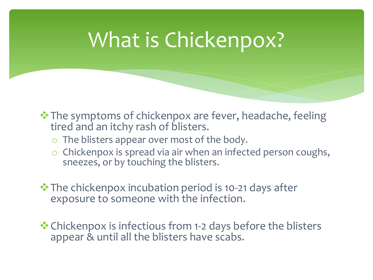## What is Chickenpox?

- ❖The symptoms of chickenpox are fever, headache, feeling tired and an itchy rash of blisters.
	- o The blisters appear over most of the body.
	- o Chickenpox is spread via air when an infected person coughs, sneezes, or by touching the blisters.
- ❖The chickenpox incubation period is 10-21 days after exposure to someone with the infection.
- ❖Chickenpox is infectious from 1-2 days before the blisters appear & until all the blisters have scabs.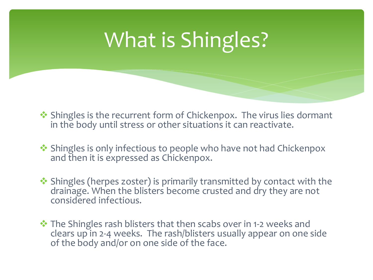# What is Shingles?

- ❖ Shingles is the recurrent form of Chickenpox. The virus lies dormant in the body until stress or other situations it can reactivate.
- ❖ Shingles is only infectious to people who have not had Chickenpox and then it is expressed as Chickenpox.
- ❖ Shingles (herpes zoster) is primarily transmitted by contact with the drainage. When the blisters become crusted and dry they are not considered infectious.
- ❖ The Shingles rash blisters that then scabs over in 1-2 weeks and clears up in 2-4 weeks. The rash/blisters usually appear on one side of the body and/or on one side of the face.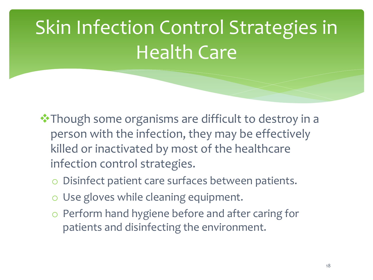# Skin Infection Control Strategies in Health Care

- ❖Though some organisms are difficult to destroy in a person with the infection, they may be effectively killed or inactivated by most of the healthcare infection control strategies.
	- o Disinfect patient care surfaces between patients.
	- o Use gloves while cleaning equipment.
	- o Perform hand hygiene before and after caring for patients and disinfecting the environment.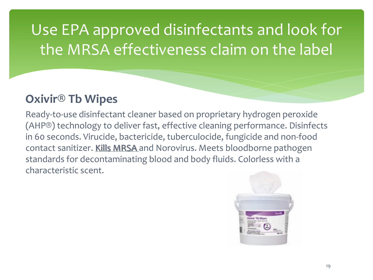### Use EPA approved disinfectants and look for the MRSA effectiveness claim on the label

### **Oxivir® Tb Wipes**

Ready-to-use disinfectant cleaner based on proprietary hydrogen peroxide (AHP®) technology to deliver fast, effective cleaning performance. Disinfects in 60 seconds. Virucide, bactericide, tuberculocide, fungicide and non-food contact sanitizer. Kills MRSA and Norovirus. Meets bloodborne pathogen standards for decontaminating blood and body fluids. Colorless with a characteristic scent.

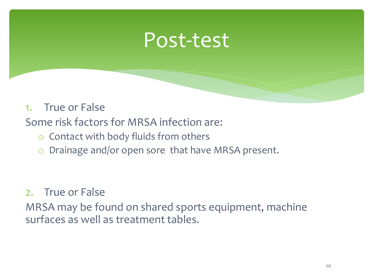### Post-test

#### 1. True or False

Some risk factors for MRSA infection are:

- o Contact with body fluids from others
- o Drainage and/or open sore that have MRSA present.

#### 2. True or False

MRSA may be found on shared sports equipment, machine surfaces as well as treatment tables.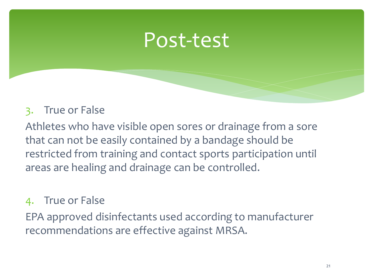### Post-test

### 3. True or False

Athletes who have visible open sores or drainage from a sore that can not be easily contained by a bandage should be restricted from training and contact sports participation until areas are healing and drainage can be controlled.

#### 4. True or False

EPA approved disinfectants used according to manufacturer recommendations are effective against MRSA.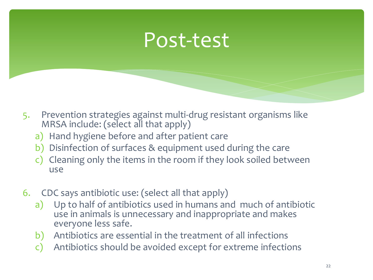## Post-test

- 5. Prevention strategies against multi-drug resistant organisms like MRSA include: (select all that apply)
	- a) Hand hygiene before and after patient care
	- b) Disinfection of surfaces & equipment used during the care
	- c) Cleaning only the items in the room if they look soiled between use
- 6. CDC says antibiotic use: (select all that apply)
	- a) Up to half of antibiotics used in humans and much of antibiotic use in animals is unnecessary and inappropriate and makes everyone less safe.
	- b) Antibiotics are essential in the treatment of all infections
	- c) Antibiotics should be avoided except for extreme infections